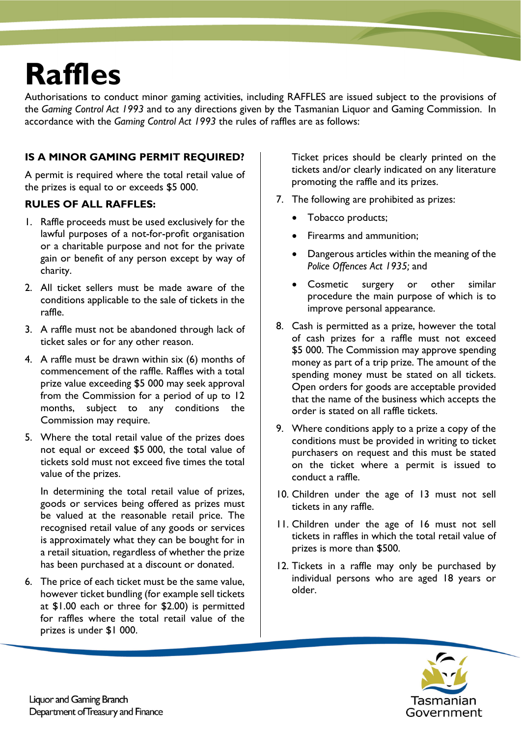# **Raffles**

Authorisations to conduct minor gaming activities, including RAFFLES are issued subject to the provisions of the *Gaming Control Act 1993* and to any directions given by the Tasmanian Liquor and Gaming Commission. In accordance with the *Gaming Control Act 1993* the rules of raffles are as follows:

### **IS A MINOR GAMING PERMIT REQUIRED?**

A permit is required where the total retail value of the prizes is equal to or exceeds \$5 000.

#### **RULES OF ALL RAFFLES:**

- 1. Raffle proceeds must be used exclusively for the lawful purposes of a not-for-profit organisation or a charitable purpose and not for the private gain or benefit of any person except by way of charity.
- 2. All ticket sellers must be made aware of the conditions applicable to the sale of tickets in the raffle.
- 3. A raffle must not be abandoned through lack of ticket sales or for any other reason.
- 4. A raffle must be drawn within six (6) months of commencement of the raffle. Raffles with a total prize value exceeding \$5 000 may seek approval from the Commission for a period of up to 12 months, subject to any conditions the Commission may require.
- 5. Where the total retail value of the prizes does not equal or exceed \$5 000, the total value of tickets sold must not exceed five times the total value of the prizes.

In determining the total retail value of prizes, goods or services being offered as prizes must be valued at the reasonable retail price. The recognised retail value of any goods or services is approximately what they can be bought for in a retail situation, regardless of whether the prize has been purchased at a discount or donated.

6. The price of each ticket must be the same value, however ticket bundling (for example sell tickets at \$1.00 each or three for \$2.00) is permitted for raffles where the total retail value of the prizes is under \$1 000.

Ticket prices should be clearly printed on the tickets and/or clearly indicated on any literature promoting the raffle and its prizes.

- 7. The following are prohibited as prizes:
	- Tobacco products;
	- Firearms and ammunition;
	- Dangerous articles within the meaning of the *Police Offences Act 1935;* and
	- Cosmetic surgery or other similar procedure the main purpose of which is to improve personal appearance.
- 8. Cash is permitted as a prize, however the total of cash prizes for a raffle must not exceed \$5 000. The Commission may approve spending money as part of a trip prize. The amount of the spending money must be stated on all tickets. Open orders for goods are acceptable provided that the name of the business which accepts the order is stated on all raffle tickets.
- 9. Where conditions apply to a prize a copy of the conditions must be provided in writing to ticket purchasers on request and this must be stated on the ticket where a permit is issued to conduct a raffle.
- 10. Children under the age of 13 must not sell tickets in any raffle.
- 11. Children under the age of 16 must not sell tickets in raffles in which the total retail value of prizes is more than \$500.
- 12. Tickets in a raffle may only be purchased by individual persons who are aged 18 years or older.

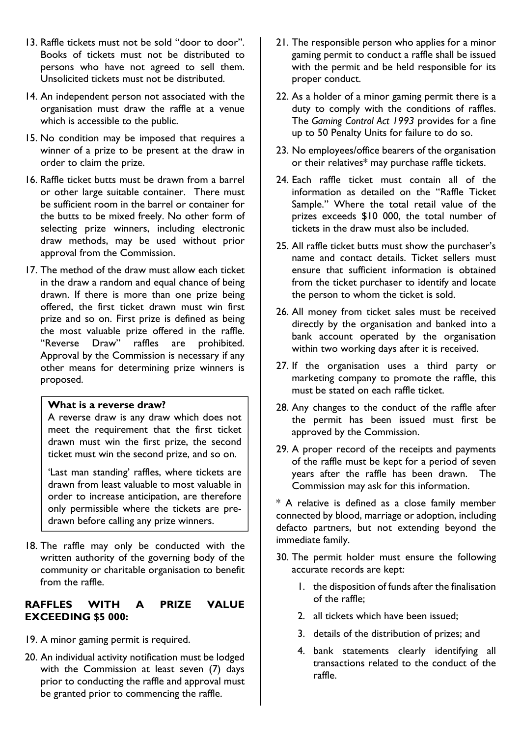- 13. Raffle tickets must not be sold "door to door". Books of tickets must not be distributed to persons who have not agreed to sell them. Unsolicited tickets must not be distributed.
- 14. An independent person not associated with the organisation must draw the raffle at a venue which is accessible to the public.
- 15. No condition may be imposed that requires a winner of a prize to be present at the draw in order to claim the prize.
- 16. Raffle ticket butts must be drawn from a barrel or other large suitable container. There must be sufficient room in the barrel or container for the butts to be mixed freely. No other form of selecting prize winners, including electronic draw methods, may be used without prior approval from the Commission.
- 17. The method of the draw must allow each ticket in the draw a random and equal chance of being drawn. If there is more than one prize being offered, the first ticket drawn must win first prize and so on. First prize is defined as being the most valuable prize offered in the raffle. "Reverse Draw" raffles are prohibited. Approval by the Commission is necessary if any other means for determining prize winners is proposed.

#### **What is a reverse draw?**

A reverse draw is any draw which does not meet the requirement that the first ticket drawn must win the first prize, the second ticket must win the second prize, and so on.

'Last man standing' raffles, where tickets are drawn from least valuable to most valuable in order to increase anticipation, are therefore only permissible where the tickets are predrawn before calling any prize winners.

18. The raffle may only be conducted with the written authority of the governing body of the community or charitable organisation to benefit from the raffle.

#### **RAFFLES WITH A PRIZE VALUE EXCEEDING \$5 000:**

- 19. A minor gaming permit is required.
- 20. An individual activity notification must be lodged with the Commission at least seven (7) days prior to conducting the raffle and approval must be granted prior to commencing the raffle.
- 21. The responsible person who applies for a minor gaming permit to conduct a raffle shall be issued with the permit and be held responsible for its proper conduct.
- 22. As a holder of a minor gaming permit there is a duty to comply with the conditions of raffles. The *Gaming Control Act 1993* provides for a fine up to 50 Penalty Units for failure to do so.
- 23. No employees/office bearers of the organisation or their relatives\* may purchase raffle tickets.
- 24. Each raffle ticket must contain all of the information as detailed on the "Raffle Ticket Sample." Where the total retail value of the prizes exceeds \$10 000, the total number of tickets in the draw must also be included.
- 25. All raffle ticket butts must show the purchaser's name and contact details. Ticket sellers must ensure that sufficient information is obtained from the ticket purchaser to identify and locate the person to whom the ticket is sold.
- 26. All money from ticket sales must be received directly by the organisation and banked into a bank account operated by the organisation within two working days after it is received.
- 27. If the organisation uses a third party or marketing company to promote the raffle, this must be stated on each raffle ticket.
- 28. Any changes to the conduct of the raffle after the permit has been issued must first be approved by the Commission.
- 29. A proper record of the receipts and payments of the raffle must be kept for a period of seven years after the raffle has been drawn. The Commission may ask for this information.

\* A relative is defined as a close family member connected by blood, marriage or adoption, including defacto partners, but not extending beyond the immediate family.

- 30. The permit holder must ensure the following accurate records are kept:
	- 1. the disposition of funds after the finalisation of the raffle;
	- 2. all tickets which have been issued;
	- 3. details of the distribution of prizes; and
	- 4. bank statements clearly identifying all transactions related to the conduct of the raffle.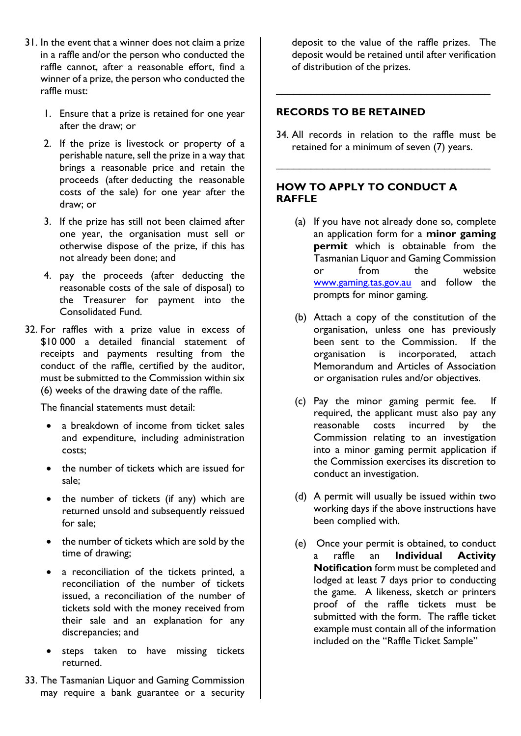- 31. In the event that a winner does not claim a prize in a raffle and/or the person who conducted the raffle cannot, after a reasonable effort, find a winner of a prize, the person who conducted the raffle must:
	- 1. Ensure that a prize is retained for one year after the draw; or
	- 2. If the prize is livestock or property of a perishable nature, sell the prize in a way that brings a reasonable price and retain the proceeds (after deducting the reasonable costs of the sale) for one year after the draw; or
	- 3. If the prize has still not been claimed after one year, the organisation must sell or otherwise dispose of the prize, if this has not already been done; and
	- 4. pay the proceeds (after deducting the reasonable costs of the sale of disposal) to the Treasurer for payment into the Consolidated Fund.
- 32. For raffles with a prize value in excess of \$10 000 a detailed financial statement of receipts and payments resulting from the conduct of the raffle, certified by the auditor, must be submitted to the Commission within six (6) weeks of the drawing date of the raffle.

The financial statements must detail:

- a breakdown of income from ticket sales and expenditure, including administration costs;
- the number of tickets which are issued for sale;
- the number of tickets (if any) which are returned unsold and subsequently reissued for sale;
- the number of tickets which are sold by the time of drawing;
- a reconciliation of the tickets printed, a reconciliation of the number of tickets issued, a reconciliation of the number of tickets sold with the money received from their sale and an explanation for any discrepancies; and
- steps taken to have missing tickets returned.
- 33. The Tasmanian Liquor and Gaming Commission may require a bank guarantee or a security

deposit to the value of the raffle prizes. The deposit would be retained until after verification of distribution of the prizes.

#### **RECORDS TO BE RETAINED**

34. All records in relation to the raffle must be retained for a minimum of seven (7) years.

\_\_\_\_\_\_\_\_\_\_\_\_\_\_\_\_\_\_\_\_\_\_\_\_\_\_\_\_\_\_\_\_\_\_\_\_\_

\_\_\_\_\_\_\_\_\_\_\_\_\_\_\_\_\_\_\_\_\_\_\_\_\_\_\_\_\_\_\_\_\_\_\_\_\_

#### **HOW TO APPLY TO CONDUCT A RAFFLE**

- (a) If you have not already done so, complete an application form for a **minor gaming permit** which is obtainable from the Tasmanian Liquor and Gaming Commission or from the website www.gaming.tas.gov.au and follow the prompts for minor gaming.
- (b) Attach a copy of the constitution of the organisation, unless one has previously been sent to the Commission. If the organisation is incorporated, attach Memorandum and Articles of Association or organisation rules and/or objectives.
- (c) Pay the minor gaming permit fee. If required, the applicant must also pay any reasonable costs incurred by the Commission relating to an investigation into a minor gaming permit application if the Commission exercises its discretion to conduct an investigation.
- (d) A permit will usually be issued within two working days if the above instructions have been complied with.
- (e) Once your permit is obtained, to conduct a raffle an **Individual Activity Notification** form must be completed and lodged at least 7 days prior to conducting the game. A likeness, sketch or printers proof of the raffle tickets must be submitted with the form. The raffle ticket example must contain all of the information included on the "Raffle Ticket Sample"